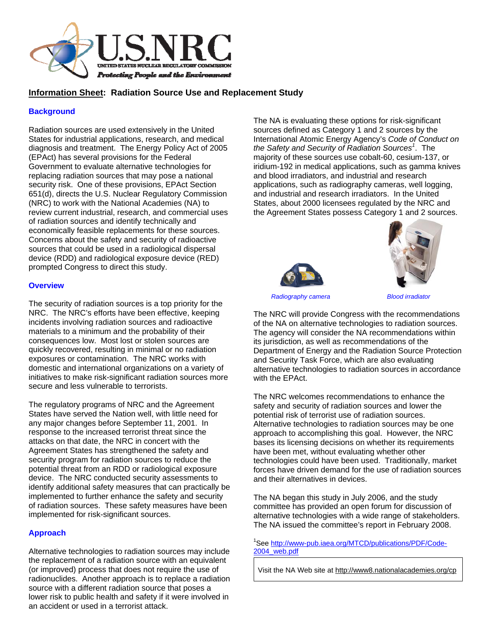

### **Information Sheet: Radiation Source Use and Replacement Study**

#### **Background**

Radiation sources are used extensively in the United States for industrial applications, research, and medical diagnosis and treatment. The Energy Policy Act of 2005 (EPAct) has several provisions for the Federal Government to evaluate alternative technologies for replacing radiation sources that may pose a national security risk. One of these provisions, EPAct Section 651(d), directs the U.S. Nuclear Regulatory Commission (NRC) to work with the National Academies (NA) to review current industrial, research, and commercial uses of radiation sources and identify technically and economically feasible replacements for these sources. Concerns about the safety and security of radioactive sources that could be used in a radiological dispersal device (RDD) and radiological exposure device (RED) prompted Congress to direct this study.

#### **Overview**

The security of radiation sources is a top priority for the NRC. The NRC's efforts have been effective, keeping incidents involving radiation sources and radioactive materials to a minimum and the probability of their consequences low. Most lost or stolen sources are quickly recovered, resulting in minimal or no radiation exposures or contamination. The NRC works with domestic and international organizations on a variety of initiatives to make risk-significant radiation sources more secure and less vulnerable to terrorists.

The regulatory programs of NRC and the Agreement States have served the Nation well, with little need for any major changes before September 11, 2001. In response to the increased terrorist threat since the attacks on that date, the NRC in concert with the Agreement States has strengthened the safety and security program for radiation sources to reduce the potential threat from an RDD or radiological exposure device. The NRC conducted security assessments to identify additional safety measures that can practically be implemented to further enhance the safety and security of radiation sources. These safety measures have been implemented for risk-significant sources.

#### **Approach**

Alternative technologies to radiation sources may include the replacement of a radiation source with an equivalent (or improved) process that does not require the use of radionuclides. Another approach is to replace a radiation source with a different radiation source that poses a lower risk to public health and safety if it were involved in an accident or used in a terrorist attack.

The NA is evaluating these options for risk-significant sources defined as Category 1 and 2 sources by the International Atomic Energy Agency's *Code of Conduct on the Safety and Security of Radiation Sources<sup>1</sup>* . The majority of these sources use cobalt-60, cesium-137, or iridium-192 in medical applications, such as gamma knives and blood irradiators, and industrial and research applications, such as radiography cameras, well logging, and industrial and research irradiators. In the United States, about 2000 licensees regulated by the NRC and the Agreement States possess Category 1 and 2 sources.





 *Radiography camera Blood irradiator*

The NRC will provide Congress with the recommendations of the NA on alternative technologies to radiation sources. The agency will consider the NA recommendations within its jurisdiction, as well as recommendations of the Department of Energy and the Radiation Source Protection and Security Task Force, which are also evaluating alternative technologies to radiation sources in accordance with the EPAct.

The NRC welcomes recommendations to enhance the safety and security of radiation sources and lower the potential risk of terrorist use of radiation sources. Alternative technologies to radiation sources may be one approach to accomplishing this goal. However, the NRC bases its licensing decisions on whether its requirements have been met, without evaluating whether other technologies could have been used. Traditionally, market forces have driven demand for the use of radiation sources and their alternatives in devices.

The NA began this study in July 2006, and the study committee has provided an open forum for discussion of alternative technologies with a wide range of stakeholders. The NA issued the committee's report in February 2008.

<sup>1</sup>See http://www-pub.iaea.org/MTCD/publications/PDF/Code-2004\_web.pdf

Visit the NA Web site at http://www8.nationalacademies.org/cp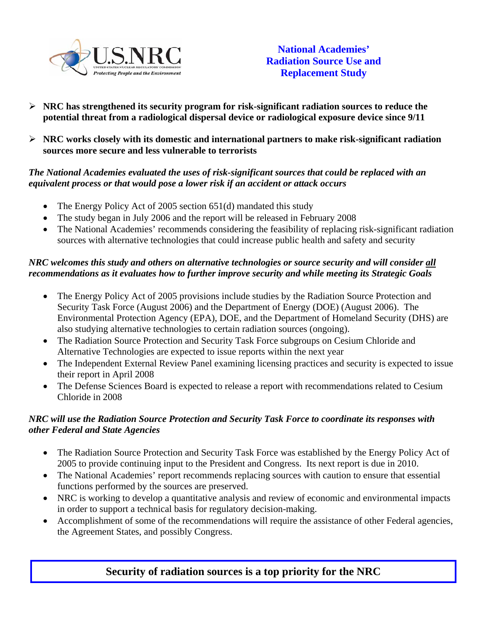

- ¾ **NRC has strengthened its security program for risk-significant radiation sources to reduce the potential threat from a radiological dispersal device or radiological exposure device since 9/11**
- ¾ **NRC works closely with its domestic and international partners to make risk-significant radiation sources more secure and less vulnerable to terrorists**

### *The National Academies evaluated the uses of risk-significant sources that could be replaced with an equivalent process or that would pose a lower risk if an accident or attack occurs*

- The Energy Policy Act of 2005 section 651(d) mandated this study
- The study began in July 2006 and the report will be released in February 2008
- The National Academies' recommends considering the feasibility of replacing risk-significant radiation sources with alternative technologies that could increase public health and safety and security

## *NRC welcomes this study and others on alternative technologies or source security and will consider all recommendations as it evaluates how to further improve security and while meeting its Strategic Goals*

- The Energy Policy Act of 2005 provisions include studies by the Radiation Source Protection and Security Task Force (August 2006) and the Department of Energy (DOE) (August 2006). The Environmental Protection Agency (EPA), DOE, and the Department of Homeland Security (DHS) are also studying alternative technologies to certain radiation sources (ongoing).
- The Radiation Source Protection and Security Task Force subgroups on Cesium Chloride and Alternative Technologies are expected to issue reports within the next year
- The Independent External Review Panel examining licensing practices and security is expected to issue their report in April 2008
- The Defense Sciences Board is expected to release a report with recommendations related to Cesium Chloride in 2008

### *NRC will use the Radiation Source Protection and Security Task Force to coordinate its responses with other Federal and State Agencies*

- The Radiation Source Protection and Security Task Force was established by the Energy Policy Act of 2005 to provide continuing input to the President and Congress. Its next report is due in 2010.
- The National Academies' report recommends replacing sources with caution to ensure that essential functions performed by the sources are preserved.
- NRC is working to develop a quantitative analysis and review of economic and environmental impacts in order to support a technical basis for regulatory decision-making.
- Accomplishment of some of the recommendations will require the assistance of other Federal agencies, the Agreement States, and possibly Congress.

# **Security of radiation sources is a top priority for the NRC**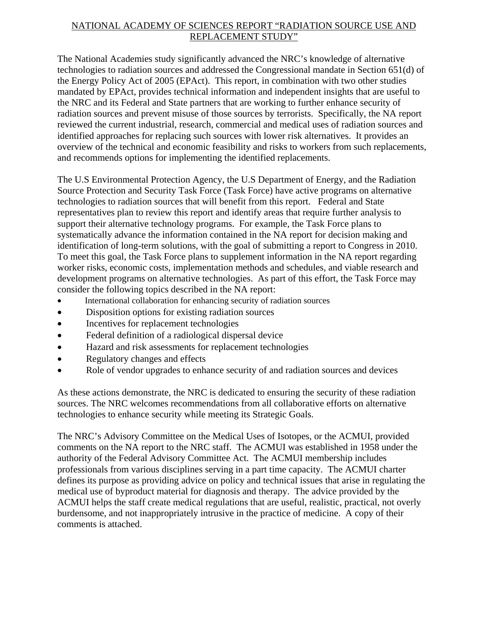### NATIONAL ACADEMY OF SCIENCES REPORT "RADIATION SOURCE USE AND REPLACEMENT STUDY"

The National Academies study significantly advanced the NRC's knowledge of alternative technologies to radiation sources and addressed the Congressional mandate in Section 651(d) of the Energy Policy Act of 2005 (EPAct). This report, in combination with two other studies mandated by EPAct, provides technical information and independent insights that are useful to the NRC and its Federal and State partners that are working to further enhance security of radiation sources and prevent misuse of those sources by terrorists. Specifically, the NA report reviewed the current industrial, research, commercial and medical uses of radiation sources and identified approaches for replacing such sources with lower risk alternatives. It provides an overview of the technical and economic feasibility and risks to workers from such replacements, and recommends options for implementing the identified replacements.

The U.S Environmental Protection Agency, the U.S Department of Energy, and the Radiation Source Protection and Security Task Force (Task Force) have active programs on alternative technologies to radiation sources that will benefit from this report. Federal and State representatives plan to review this report and identify areas that require further analysis to support their alternative technology programs. For example, the Task Force plans to systematically advance the information contained in the NA report for decision making and identification of long-term solutions, with the goal of submitting a report to Congress in 2010. To meet this goal, the Task Force plans to supplement information in the NA report regarding worker risks, economic costs, implementation methods and schedules, and viable research and development programs on alternative technologies. As part of this effort, the Task Force may consider the following topics described in the NA report:

- International collaboration for enhancing security of radiation sources
- Disposition options for existing radiation sources
- Incentives for replacement technologies
- Federal definition of a radiological dispersal device
- Hazard and risk assessments for replacement technologies
- Regulatory changes and effects
- Role of vendor upgrades to enhance security of and radiation sources and devices

As these actions demonstrate, the NRC is dedicated to ensuring the security of these radiation sources. The NRC welcomes recommendations from all collaborative efforts on alternative technologies to enhance security while meeting its Strategic Goals.

The NRC's Advisory Committee on the Medical Uses of Isotopes, or the ACMUI, provided comments on the NA report to the NRC staff. The ACMUI was established in 1958 under the authority of the Federal Advisory Committee Act. The ACMUI membership includes professionals from various disciplines serving in a part time capacity. The ACMUI charter defines its purpose as providing advice on policy and technical issues that arise in regulating the medical use of byproduct material for diagnosis and therapy. The advice provided by the ACMUI helps the staff create medical regulations that are useful, realistic, practical, not overly burdensome, and not inappropriately intrusive in the practice of medicine. A copy of their comments is attached.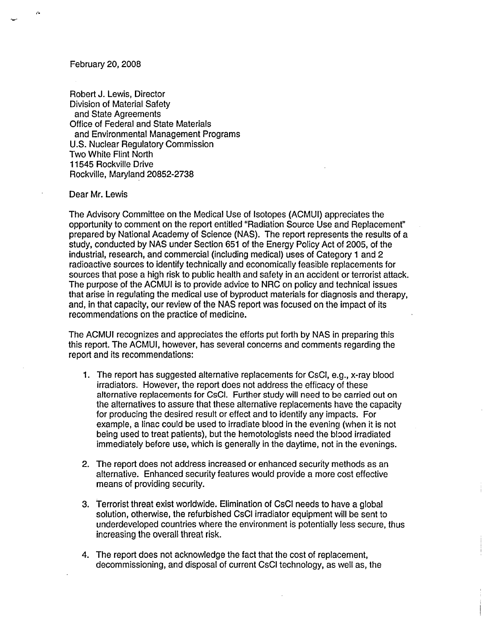#### February 20, 2008

Robert J. Lewis, Director Division of Material Safety and State Agreements Office of Federal and State Materials and Environmental Management Programs U.S. Nuclear Regulatory Commission Two White Flint North 11545 Rockville Drive Rockville, Maryland 20852-2738

#### Dear Mr. Lewis

The Advisory Committee on the Medical Use of Isotopes (ACMUI) appreciates the opportunity to comment on the report entitled "Radiation Source Use and Replacement" prepared by National Academy of Science (NAS). The report represents the results of a study, conducted by NAS under Section 651 of the Energy Policy Act of 2005, of the industrial, research, and commercial (including medical) uses of Category **1** and 2 radioactive sources to identify technically and economically feasible replacements for sources that pose a high risk to public health and safety in an accident or terrorist attack. The purpose of the ACMUI is to provide advice to NRC on policy and technical issues that arise in regulating the medical use of byproduct materials for diagnosis and therapy, and, in that capacity, our review of the NAS report was focused on the impact of its recommendations on the practice of medicine.

The ACMUI recognizes and appreciates the efforts put forth by NAS in preparing this this report. The ACMUI, however, has several concerns and comments regarding the report and its recommendations:

- 1. The report has suggested alternative replacements for CsCI, e.g., x-ray blood irradiators. However, the report does not address the efficacy of these alternative replacements for CsCI. Further study will need to be carried out on the alternatives to assure that these alternative replacements have the capacity for producing the desired result or effect and to identify any impacts. For example, a linac could be used to irradiate blood in the evening (when it is not being used to treat patients), but the hemotologists need the blood irradiated immediately before use, which is generally in the daytime, not in the evenings.
- 2. The report does not address increased or enhanced security methods as an alternative. Enhanced security features would provide a more cost effective means of providing security.
- 3. Terrorist threat exist worldwide. Elimination of CsCI needs to have a global solution, otherwise, the refurbished CsCI irradiator equipment will be sent to underdeveloped countries where the environment is potentially less secure, thus increasing the overall threat risk.
- 4. The report does not acknowledge the fact that the cost of replacement, decommissioning, and disposal of current CsCI technology, as well as, the